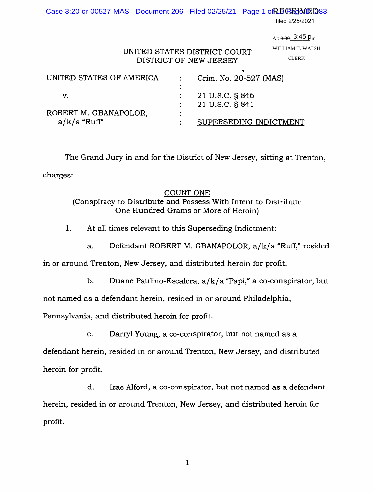Case 3:20-cr-00527-MAS Document 206 Filed 02/25/21 Page 1 of RECEJ VE 1283

filed 2/25/2021

<sub>At: <del>8.30</del>\_3:45 p<sub>.m</sub></sub> WILLIAM T. WALSH CLERK

## UNITED STATES DISTRICT COURT DISTRICT OF NEW JERSEY

| UNITED STATES OF AMERICA |   | Crim. No. 20-527 (MAS) |
|--------------------------|---|------------------------|
|                          |   |                        |
| v.                       |   | 21 U.S.C. § 846        |
|                          |   | 21 U.S.C. § 841        |
| ROBERT M. GBANAPOLOR,    | ٠ |                        |
| $a/k/a$ "Ruff"           |   | SUPERSEDING INDICTMENT |
|                          |   |                        |

The Grand Jury in and for the District of New Jersey, sitting at Trenton, charges:

#### COUNT ONE

(Conspiracy to Distribute and Possess With Intent to Distribute One Hundred Grams or More of Heroin)

1. At all times relevant to this Superseding Indictment:

a. Defendant ROBERT M. GBANAPOLOR, a/k/a "Ruff," resided

in or around Trenton, New Jersey, and distributed heroin for profit.

b. Duane Paulino-Escalera, a/k/ a "Papi," a co-conspirator, but

not named as a defendant herein, resided in or around Philadelphia,

Pennsylvania, and distributed heroin for profit.

c. Darryl Young, a co-conspirator, but not named as a

defendant herein, resided in or around Trenton, New Jersey, and distributed heroin for profit.

d. Izae Alford, a co-conspirator, but not named as a defendant herein, resided in or around Trenton, New Jersey, and distributed heroin for profit.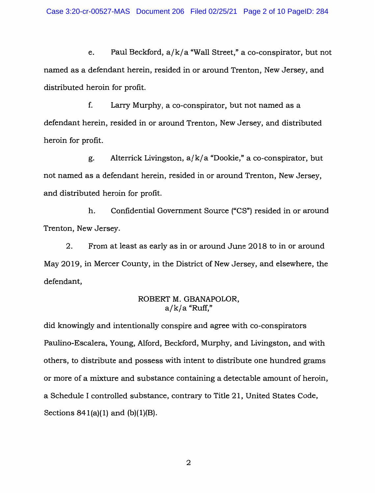e. Paul Beckford,  $a/k/a$  "Wall Street," a co-conspirator, but not named as a defendant herein, resided in or around Trenton, New Jersey, and distributed heroin for profit.

f. Larty Murphy, a co-conspirator, but not named as a defendant herein, resided in or around Trenton, New Jersey, and distributed heroin for profit.

g. Alterrick Livingston,  $a/k/a$  "Dookie," a co-conspirator, but not named as a defendant herein, resided in or around Trenton, New Jersey, and distributed heroin for profit.

h. Confidential Government Source ("CS") resided in or around Trenton, New Jersey.

2. From at least as early as in or around June 2018 to in or around May 2019, in Mercer County, in the District of New Jersey, and elsewhere, the defendant,

## ROBERT M. GBANAPOLOR,  $a/k/a$  "Ruff,"

did knowingly and intentionally conspire and agree with co-conspirators Paulino-Escalera, Young, Alford, Beckford, Murphy, and Livingston, and with others, to distribute and possess with intent to distribute one hundred grams or more of a mixture and substance containing a detectable amount of heroin, a Schedule I controlled substance, contrary to Title 21, United States Code, Sections  $841(a)(1)$  and  $(b)(1)(B)$ .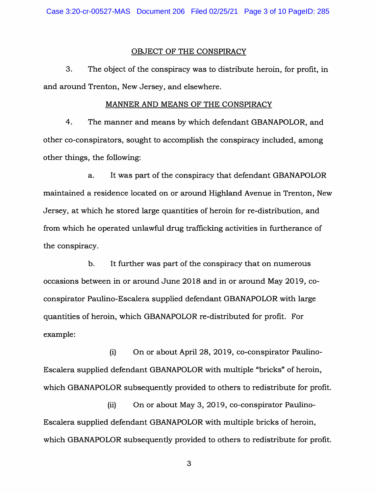#### OBJECT OF THE CONSPIRACY

3. The object of the conspiracy was to distribute heroin, for profit, in and around Trenton, New Jersey, and elsewhere.

#### MANNER AND MEANS OF THE CONSPIRACY

4. The manner and means by which defendant GBANAPOLOR, and other co-conspirators, sought to accomplish the conspiracy included, among other things, the following:

a. It was part of the conspiracy that defendant GBANAPOLOR maintained a residence located on or around Highland Avenue in Trenton, New Jersey, at which he stored large quantities of heroin for re-distribution, and from which he operated unlawful drug trafficking activities in furtherance of the conspiracy.

b. It further was part of the conspiracy that on numerous occasions between in or around June 2018 and in or around May 2019, coconspirator Paulino-Escalera supplied defendant GBANAPOLOR with large quantities of heroin, which GBANAPOLOR re-distributed for profit. For example:

(i) On or about April 28, 2019, co-conspirator Paulino-Escalera supplied defendant GBANAPOLOR with multiple "bricks" of heroin, which GBANAPOLOR subsequently provided to others to redistribute for profit.

(ii) On or about May 3, 2019, co-conspirator Paulino-Escalera supplied defendant GBANAPOLOR with multiple bricks of heroin, which GBANAPOLOR subsequently provided to others to redistribute for profit.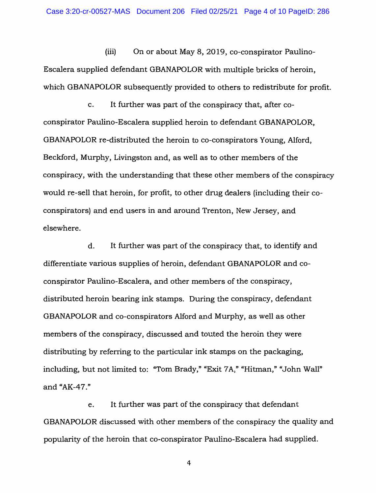(iii) On or about May 8, 2019, co-conspirator Paulino-Escalera supplied defendant GBANAPOLOR with multiple bricks of heroin, which GBANAPOLOR subsequently provided to others to redistribute for profit.

c. It further was part of the conspiracy that, after coconspirator Paulino-Escalera supplied heroin to defendant GBANAPOLOR, GBANAPOLOR re-distributed the heroin to co-conspirators Young, Alford, Beckford, Murphy, Livingston and, as well as to other members of the conspiracy, with the understanding that these other members of the conspiracy would re-sell that heroin, for profit, to other drug dealers (including their coconspirators) and end users in and around Trenton, New Jersey, and elsewhere.

d. It further was part of the conspiracy that, to identify and differentiate various supplies of heroin, defendant GBANAPOLOR and coconspirator Paulino-Escalera, and other members of the conspiracy, distributed heroin bearing ink stamps. During the conspiracy, defendant GBANAPOLOR and co-conspirators Alford and Murphy, as well as other members of the conspiracy, discussed and touted the heroin they were distributing by referring to the particular ink stamps on the packaging, including, but not limited to: "Tom Brady," "Exit 7A," "Hitman," "John Wall" and "AK-47."

e. It further was part of the conspiracy that defendant GBANAPOLOR discussed with other members of the conspiracy the quality and popularity of the heroin that co-conspirator Paulino-Escalera had supplied.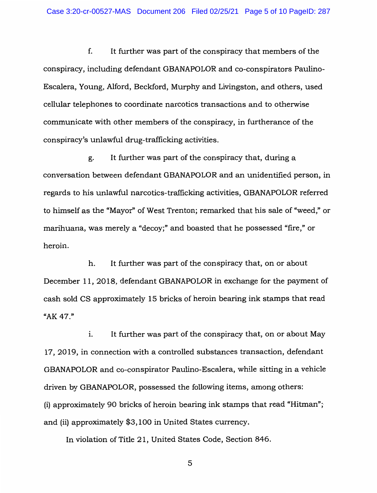f. It further was part of the conspiracy that members of the conspiracy, including defendant GBANAPOLOR and co-conspirators Paulino-Escalera, Young, Alford, Beckford, Murphy and Livingston, and others, used cellular telephones to coordinate narcotics transactions and to otherwise communicate with other members of the conspiracy, in furtherance of the conspiracy's unlawful drug-trafficking activities.

g. It further was part of the conspiracy that, during a conversation between defendant GBANAPOLOR and an unidentified person, in regards to his unlawful narcotics-trafficking activities, GBANAPOLOR referred to himself as the "Mayor'' of West Trenton; remarked that his sale of "weed," or marihuana, was merely a "decoy;" and boasted that he possessed "fire," or heroin.

h. It further was part of the conspiracy that, on or about December 11, 2018, defendant GBANAPOLOR in exchange for the payment of cash sold CS approximately 15 bricks of heroin bearing ink stamps that read "AK 47."

i. It further was part of the conspiracy that, on or about May 17, 2019, in connection with a controlled substances transaction, defendant GBANAPOLOR and co-conspirator Paulino-Escalera, while sitting in a vehicle driven by GBANAPOLOR, possessed the following items, among others: (i) approximately 90 bricks of heroin bearing ink stamps that read "Hitman";· and (ii) approximately \$3,100 in United States currency.

In violation of Title 21, United States Code, Section 846.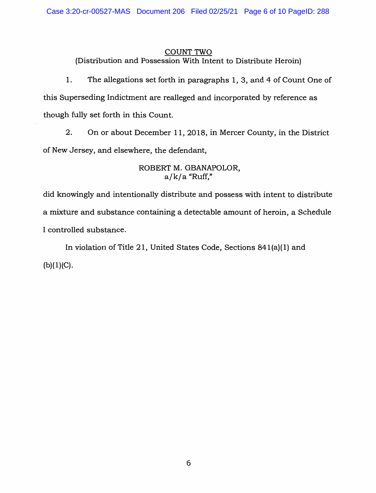#### COUNT TWO

(Distribution and Possession With Intent to Distribute Heroin)

1. The allegations set forth in paragraphs 1, 3, and 4 of Count One of this Superseding Indictment are realleged and incorporated by reference as though fully set forth in this Count.

2. On or about December 11, 2018, in Mercer County, in the District of New Jersey, and elsewhere, the defendant,

### ROBERT M. GBANAPOLOR,  $a/k/a$  "Ruff,"

did knowingly and intentionally distribute and possess with intent to distribute a mixture and substance containing a detectable amount of heroin, a Schedule I controlled substance.

In violation of Title 21, United States Code, Sections 841(a)(l) and  $(b)(1)(C)$ .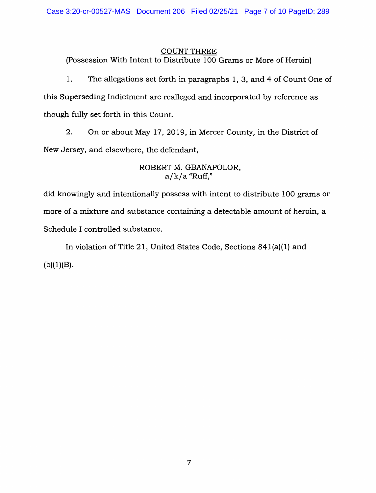#### COUNT THREE

(Possession With Intent to Distribute 100 Grams or More of Heroin)

1. The allegations set forth in paragraphs 1, 3, and 4 of Count One of this Superseding Indictment are realleged and incorporated by reference as though fully set forth in this Count.

2. On or about May 17, 2019, in Mercer County, in the District of New Jersey, and elsewhere, the defendant,

### ROBERT M. GBANAPOLOR,  $a/k/a$  "Ruff,"

did knowingly and intentionally possess with intent to distribute 100 grams or more of a mixture and substance containing a detectable amount of heroin, a Schedule I controlled substance.

In violation of Title 21, United States Code, Sections 841(a)(l) and  $(b)(1)(B)$ .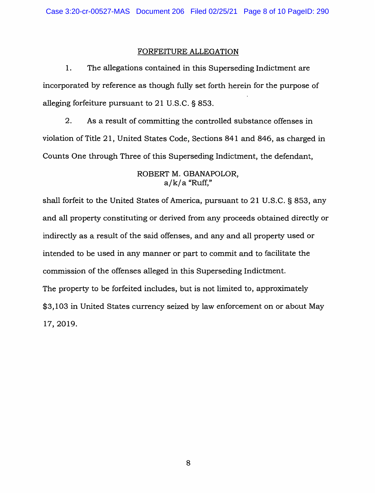### FORFEITURE ALLEGATION

1. The allegations contained in this Superseding Indictment are incorporated by reference as though fully set forth herein for the purpose of alleging forfeiture pursuant to 21 U.S.C. § 853.

2. As a result of committing the controlled substance offenses in violation of Title 21, United States Code, Sections 841 and 846, as charged in Counts One through Three of this Superseding Indictment, the defendant,

#### ROBERT M. GBANAPOLOR,  $a/k/a$  "Ruff,"

shall forfeit to the United States of America, pursuant to 21 U.S.C. § 853, any and all property constituting or derived from any proceeds obtained directly or indirectly as a result of the said offenses, and any and all property used or intended to be used in any manner or part to commit and to facilitate the commission of the offenses alleged in this Superseding Indictment. The property to be forfeited includes, but is not limited to, approximately \$3,103 in United States currency seized by law enforcement on or about May 17, 2019.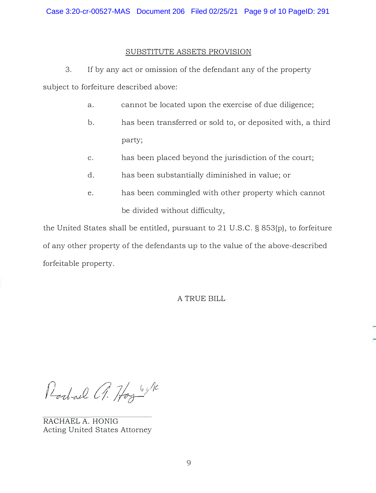#### SUBSTITUTE ASSETS PROVISION

3. If by any act or omission of the defendant any of the property subject to forfeiture described above:

- a. cannot be located upon the exercise of due diligence;
- b. has been transferred or sold to, or deposited with, a third party;
- c. has been placed beyond the jurisdiction of the court;
- d. has been substantially diminished in value; or
- e. has been commingled with other property which cannot be divided without difficulty,

the United States shall be entitled, pursuant to 21 U.S.C. § 853(p), to forfeiture of any other property of the defendants up to the value of the above-described forfeitable property.

A TRUE BILL

Rochael A. Hogy by Ne

RACHAEL A. HONIG Acting United States Attorney